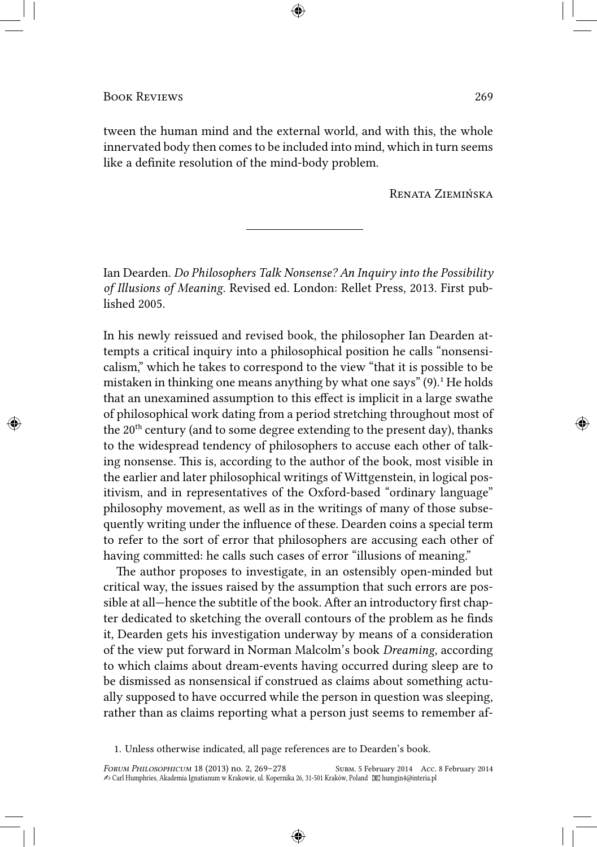tween the human mind and the external world, and with this, the whole innervated body then comes to be included into mind, which in turn seems like a definite resolution of the mind-body problem.

RENATA ZIEMIŃSKA

Ian Dearden. *Do Philosophers Talk Nonsense? An Inquiry into the Possibility of Illusions of Meaning*. Revised ed. London: Rellet Press, 2013. First published 2005.

In his newly reissued and revised book, the philosopher Ian Dearden attempts a critical inquiry into a philosophical position he calls "nonsensicalism," which he takes to correspond to the view "that it is possible to be mistaken in thinking one means anything by what one says"  $(9)$ .<sup>1</sup> He holds that an unexamined assumption to this effect is implicit in a large swathe of philosophical work dating from a period stretching throughout most of the 20<sup>th</sup> century (and to some degree extending to the present day), thanks to the widespread tendency of philosophers to accuse each other of talking nonsense. This is, according to the author of the book, most visible in the earlier and later philosophical writings of Wittgenstein, in logical positivism, and in representatives of the Oxford-based "ordinary language" philosophy movement, as well as in the writings of many of those subsequently writing under the influence of these. Dearden coins a special term to refer to the sort of error that philosophers are accusing each other of having committed: he calls such cases of error "illusions of meaning."

The author proposes to investigate, in an ostensibly open-minded but critical way, the issues raised by the assumption that such errors are possible at all—hence the subtitle of the book. After an introductory first chapter dedicated to sketching the overall contours of the problem as he finds it, Dearden gets his investigation underway by means of a consideration of the view put forward in Norman Malcolm's book *Dreaming*, according to which claims about dream-events having occurred during sleep are to be dismissed as nonsensical if construed as claims about something actually supposed to have occurred while the person in question was sleeping, rather than as claims reporting what a person just seems to remember af-

<sup>1.</sup> Unless otherwise indicated, all page references are to Dearden's book.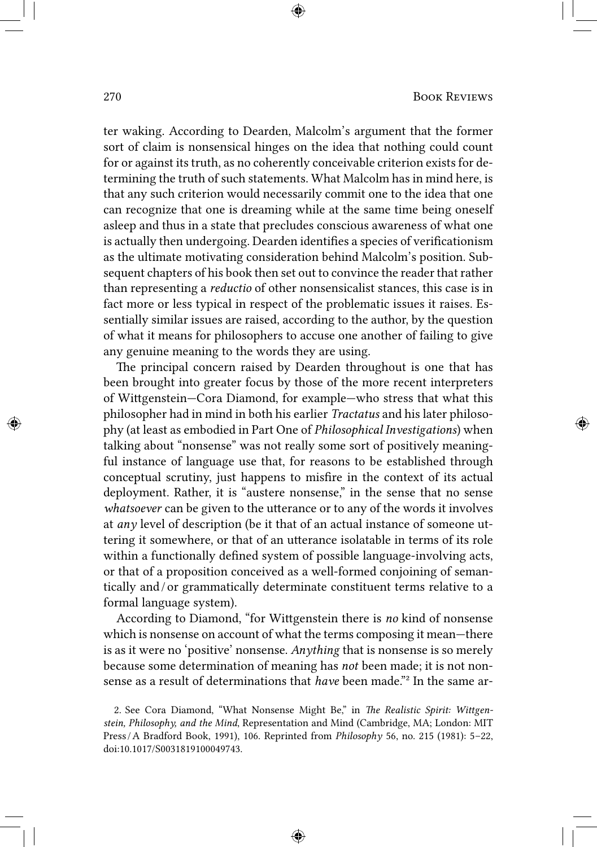ter waking. According to Dearden, Malcolm's argument that the former sort of claim is nonsensical hinges on the idea that nothing could count for or against its truth, as no coherently conceivable criterion exists for determining the truth of such statements. What Malcolm has in mind here, is that any such criterion would necessarily commit one to the idea that one can recognize that one is dreaming while at the same time being oneself asleep and thus in a state that precludes conscious awareness of what one is actually then undergoing. Dearden identifies a species of verificationism as the ultimate motivating consideration behind Malcolm's position. Subsequent chapters of his book then set out to convince the reader that rather than representing a *reductio* of other nonsensicalist stances, this case is in fact more or less typical in respect of the problematic issues it raises. Essentially similar issues are raised, according to the author, by the question of what it means for philosophers to accuse one another of failing to give any genuine meaning to the words they are using.

The principal concern raised by Dearden throughout is one that has been brought into greater focus by those of the more recent interpreters of Wigenstein—Cora Diamond, for example—who stress that what this philosopher had in mind in both his earlier *Tractatus* and his later philosophy (at least as embodied in Part One of *Philosophical Investigations*) when talking about "nonsense" was not really some sort of positively meaningful instance of language use that, for reasons to be established through conceptual scrutiny, just happens to misfire in the context of its actual deployment. Rather, it is "austere nonsense," in the sense that no sense *whatsoever* can be given to the utterance or to any of the words it involves at *any* level of description (be it that of an actual instance of someone uttering it somewhere, or that of an utterance isolatable in terms of its role within a functionally defined system of possible language-involving acts, or that of a proposition conceived as a well-formed conjoining of semantically and / or grammatically determinate constituent terms relative to a formal language system).

According to Diamond, "for Wigenstein there is *no* kind of nonsense which is nonsense on account of what the terms composing it mean—there is as it were no 'positive' nonsense. *Anything* that is nonsense is so merely because some determination of meaning has *not* been made; it is not nonsense as a result of determinations that *have* been made."² In the same ar-

<sup>2.</sup> See Cora Diamond, "What Nonsense Might Be," in *The Realistic Spirit: Wittgenstein, Philosophy, and the Mind*, Representation and Mind (Cambridge, MA; London: MIT Press / A Bradford Book, 1991), 106. Reprinted from *Philosophy* 56, no. 215 (1981): 5–22, doi:10.1017/S0031819100049743.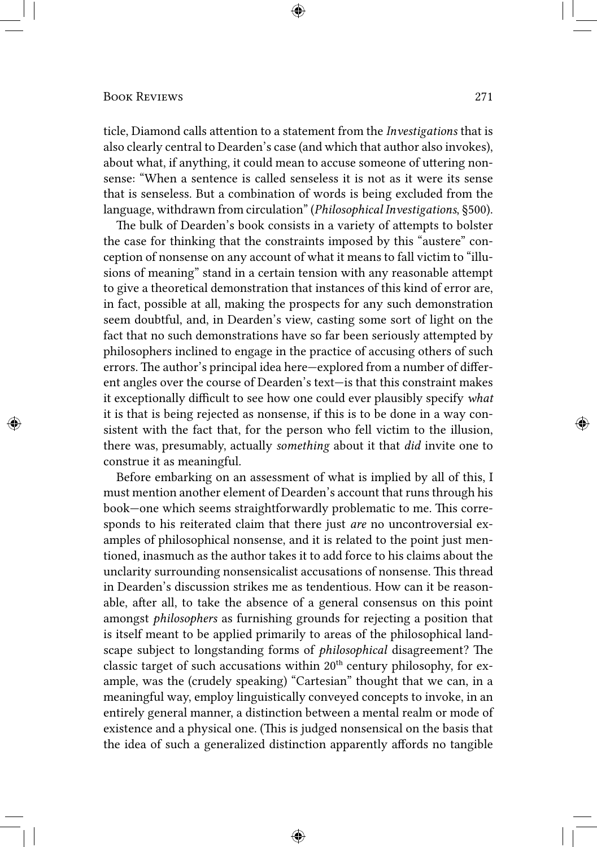ticle, Diamond calls attention to a statement from the *Investigations* that is also clearly central to Dearden's case (and which that author also invokes), about what, if anything, it could mean to accuse someone of uttering nonsense: "When a sentence is called senseless it is not as it were its sense that is senseless. But a combination of words is being excluded from the language, withdrawn from circulation" (*Philosophical Investigations*, §500).

The bulk of Dearden's book consists in a variety of attempts to bolster the case for thinking that the constraints imposed by this "austere" conception of nonsense on any account of what it means to fall victim to "illusions of meaning" stand in a certain tension with any reasonable attempt to give a theoretical demonstration that instances of this kind of error are, in fact, possible at all, making the prospects for any such demonstration seem doubtful, and, in Dearden's view, casting some sort of light on the fact that no such demonstrations have so far been seriously attempted by philosophers inclined to engage in the practice of accusing others of such errors. The author's principal idea here—explored from a number of different angles over the course of Dearden's text—is that this constraint makes it exceptionally difficult to see how one could ever plausibly specify *what* it is that is being rejected as nonsense, if this is to be done in a way consistent with the fact that, for the person who fell victim to the illusion, there was, presumably, actually *something* about it that *did* invite one to construe it as meaningful.

Before embarking on an assessment of what is implied by all of this, I must mention another element of Dearden's account that runs through his book—one which seems straightforwardly problematic to me. This corresponds to his reiterated claim that there just *are* no uncontroversial examples of philosophical nonsense, and it is related to the point just mentioned, inasmuch as the author takes it to add force to his claims about the unclarity surrounding nonsensicalist accusations of nonsense. This thread in Dearden's discussion strikes me as tendentious. How can it be reasonable, after all, to take the absence of a general consensus on this point amongst *philosophers* as furnishing grounds for rejecting a position that is itself meant to be applied primarily to areas of the philosophical landscape subject to longstanding forms of *philosophical* disagreement? The classic target of such accusations within  $20<sup>th</sup>$  century philosophy, for example, was the (crudely speaking) "Cartesian" thought that we can, in a meaningful way, employ linguistically conveyed concepts to invoke, in an entirely general manner, a distinction between a mental realm or mode of existence and a physical one. (This is judged nonsensical on the basis that the idea of such a generalized distinction apparently affords no tangible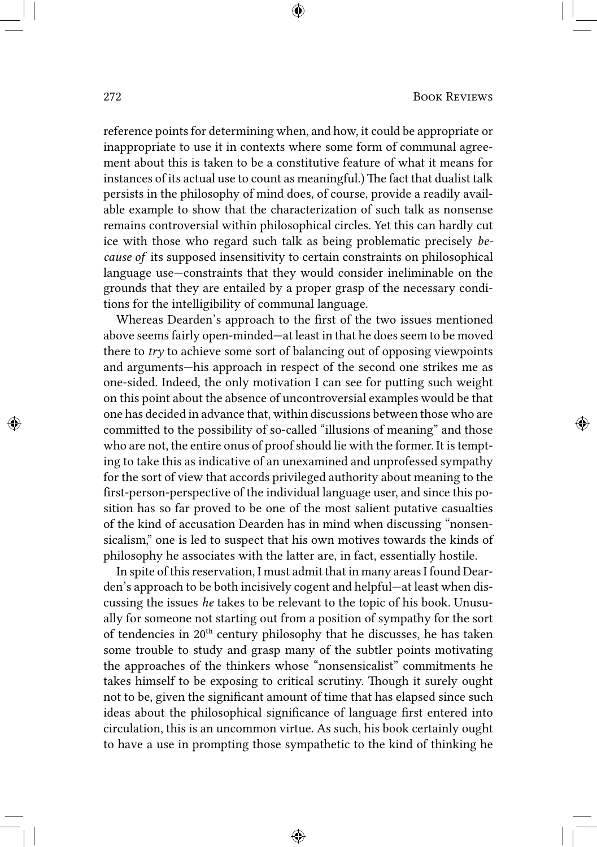reference points for determining when, and how, it could be appropriate or inappropriate to use it in contexts where some form of communal agreement about this is taken to be a constitutive feature of what it means for instances of its actual use to count as meaningful.) The fact that dualist talk persists in the philosophy of mind does, of course, provide a readily available example to show that the characterization of such talk as nonsense remains controversial within philosophical circles. Yet this can hardly cut ice with those who regard such talk as being problematic precisely *because of* its supposed insensitivity to certain constraints on philosophical language use—constraints that they would consider ineliminable on the grounds that they are entailed by a proper grasp of the necessary conditions for the intelligibility of communal language.

Whereas Dearden's approach to the first of the two issues mentioned above seems fairly open-minded—at least in that he does seem to be moved there to *try* to achieve some sort of balancing out of opposing viewpoints and arguments—his approach in respect of the second one strikes me as one-sided. Indeed, the only motivation I can see for puing such weight on this point about the absence of uncontroversial examples would be that one has decided in advance that, within discussions between those who are committed to the possibility of so-called "illusions of meaning" and those who are not, the entire onus of proof should lie with the former. It is tempting to take this as indicative of an unexamined and unprofessed sympathy for the sort of view that accords privileged authority about meaning to the first-person-perspective of the individual language user, and since this position has so far proved to be one of the most salient putative casualties of the kind of accusation Dearden has in mind when discussing "nonsensicalism," one is led to suspect that his own motives towards the kinds of philosophy he associates with the latter are, in fact, essentially hostile.

In spite of this reservation, I must admit that in many areas I found Dearden's approach to be both incisively cogent and helpful—at least when discussing the issues *he* takes to be relevant to the topic of his book. Unusually for someone not starting out from a position of sympathy for the sort of tendencies in 20<sup>th</sup> century philosophy that he discusses, he has taken some trouble to study and grasp many of the subtler points motivating the approaches of the thinkers whose "nonsensicalist" commitments he takes himself to be exposing to critical scrutiny. Though it surely ought not to be, given the significant amount of time that has elapsed since such ideas about the philosophical significance of language first entered into circulation, this is an uncommon virtue. As such, his book certainly ought to have a use in prompting those sympathetic to the kind of thinking he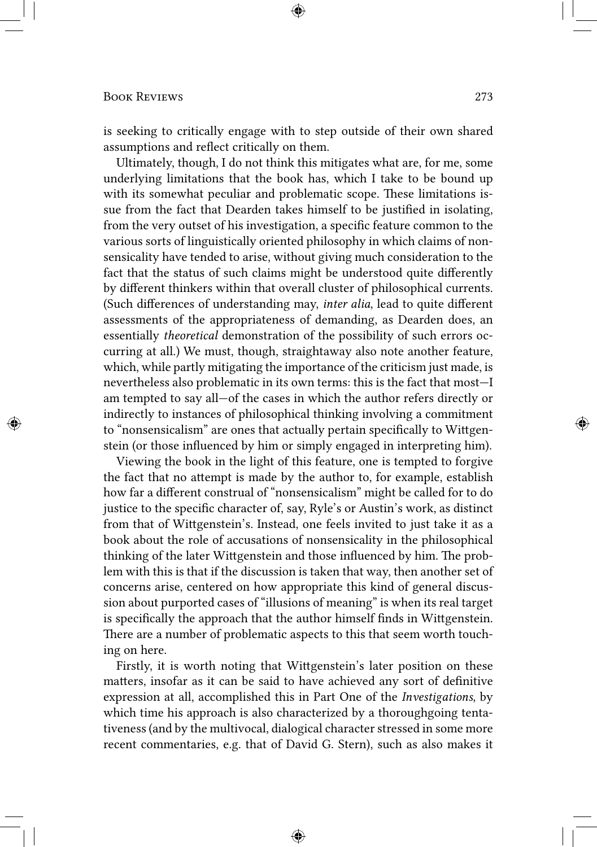is seeking to critically engage with to step outside of their own shared assumptions and reflect critically on them.

Ultimately, though, I do not think this mitigates what are, for me, some underlying limitations that the book has, which I take to be bound up with its somewhat peculiar and problematic scope. These limitations issue from the fact that Dearden takes himself to be justified in isolating, from the very outset of his investigation, a specific feature common to the various sorts of linguistically oriented philosophy in which claims of nonsensicality have tended to arise, without giving much consideration to the fact that the status of such claims might be understood quite differently by different thinkers within that overall cluster of philosophical currents. (Such differences of understanding may, *inter alia*, lead to quite different assessments of the appropriateness of demanding, as Dearden does, an essentially *theoretical* demonstration of the possibility of such errors occurring at all.) We must, though, straightaway also note another feature, which, while partly mitigating the importance of the criticism just made, is nevertheless also problematic in its own terms: this is the fact that most—I am tempted to say all—of the cases in which the author refers directly or indirectly to instances of philosophical thinking involving a commitment to "nonsensicalism" are ones that actually pertain specifically to Wittgenstein (or those influenced by him or simply engaged in interpreting him).

Viewing the book in the light of this feature, one is tempted to forgive the fact that no attempt is made by the author to, for example, establish how far a different construal of "nonsensicalism" might be called for to do justice to the specific character of, say, Ryle's or Austin's work, as distinct from that of Wittgenstein's. Instead, one feels invited to just take it as a book about the role of accusations of nonsensicality in the philosophical thinking of the later Wittgenstein and those influenced by him. The problem with this is that if the discussion is taken that way, then another set of concerns arise, centered on how appropriate this kind of general discussion about purported cases of "illusions of meaning" is when its real target is specifically the approach that the author himself finds in Wittgenstein. There are a number of problematic aspects to this that seem worth touching on here.

Firstly, it is worth noting that Wittgenstein's later position on these matters, insofar as it can be said to have achieved any sort of definitive expression at all, accomplished this in Part One of the *Investigations*, by which time his approach is also characterized by a thoroughgoing tentativeness (and by the multivocal, dialogical character stressed in some more recent commentaries, e.g. that of David G. Stern), such as also makes it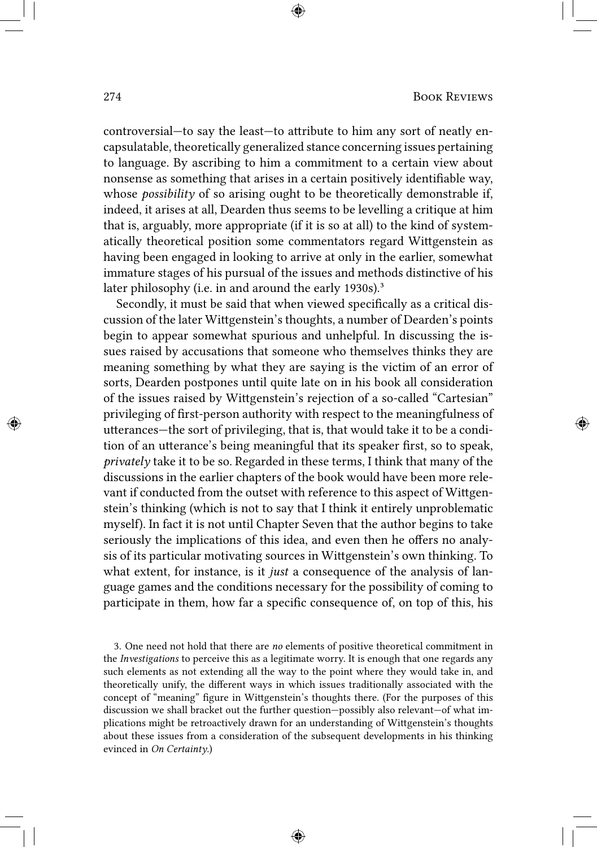controversial—to say the least—to attribute to him any sort of neatly encapsulatable, theoretically generalized stance concerning issues pertaining to language. By ascribing to him a commitment to a certain view about nonsense as something that arises in a certain positively identifiable way, whose *possibility* of so arising ought to be theoretically demonstrable if, indeed, it arises at all, Dearden thus seems to be levelling a critique at him that is, arguably, more appropriate (if it is so at all) to the kind of systematically theoretical position some commentators regard Wigenstein as having been engaged in looking to arrive at only in the earlier, somewhat immature stages of his pursual of the issues and methods distinctive of his later philosophy (i.e. in and around the early 1930s).<sup>3</sup>

Secondly, it must be said that when viewed specifically as a critical discussion of the later Wittgenstein's thoughts, a number of Dearden's points begin to appear somewhat spurious and unhelpful. In discussing the issues raised by accusations that someone who themselves thinks they are meaning something by what they are saying is the victim of an error of sorts, Dearden postpones until quite late on in his book all consideration of the issues raised by Wittgenstein's rejection of a so-called "Cartesian" privileging of first-person authority with respect to the meaningfulness of utterances—the sort of privileging, that is, that would take it to be a condition of an utterance's being meaningful that its speaker first, so to speak, *privately* take it to be so. Regarded in these terms, I think that many of the discussions in the earlier chapters of the book would have been more relevant if conducted from the outset with reference to this aspect of Wittgenstein's thinking (which is not to say that I think it entirely unproblematic myself). In fact it is not until Chapter Seven that the author begins to take seriously the implications of this idea, and even then he offers no analysis of its particular motivating sources in Wittgenstein's own thinking. To what extent, for instance, is it *just* a consequence of the analysis of language games and the conditions necessary for the possibility of coming to participate in them, how far a specific consequence of, on top of this, his

3. One need not hold that there are *no* elements of positive theoretical commitment in the *Investigations* to perceive this as a legitimate worry. It is enough that one regards any such elements as not extending all the way to the point where they would take in, and theoretically unify, the different ways in which issues traditionally associated with the concept of "meaning" figure in Wittgenstein's thoughts there. (For the purposes of this discussion we shall bracket out the further question—possibly also relevant—of what implications might be retroactively drawn for an understanding of Wigenstein's thoughts about these issues from a consideration of the subsequent developments in his thinking evinced in *On Certainty*.)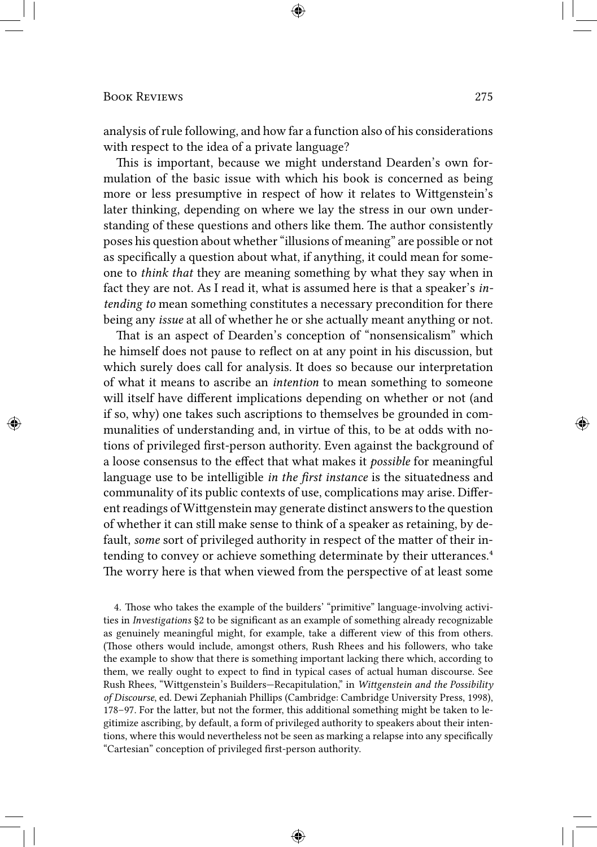analysis of rule following, and how far a function also of his considerations with respect to the idea of a private language?

This is important, because we might understand Dearden's own formulation of the basic issue with which his book is concerned as being more or less presumptive in respect of how it relates to Wittgenstein's later thinking, depending on where we lay the stress in our own understanding of these questions and others like them. The author consistently poses his question about whether "illusions of meaning" are possible or not as specifically a question about what, if anything, it could mean for someone to *think that* they are meaning something by what they say when in fact they are not. As I read it, what is assumed here is that a speaker's *intending to* mean something constitutes a necessary precondition for there being any *issue* at all of whether he or she actually meant anything or not.

That is an aspect of Dearden's conception of "nonsensicalism" which he himself does not pause to reflect on at any point in his discussion, but which surely does call for analysis. It does so because our interpretation of what it means to ascribe an *intention* to mean something to someone will itself have different implications depending on whether or not (and if so, why) one takes such ascriptions to themselves be grounded in communalities of understanding and, in virtue of this, to be at odds with notions of privileged first-person authority. Even against the background of a loose consensus to the effect that what makes it *possible* for meaningful language use to be intelligible *in the first instance* is the situatedness and communality of its public contexts of use, complications may arise. Different readings of Wittgenstein may generate distinct answers to the question of whether it can still make sense to think of a speaker as retaining, by default, *some* sort of privileged authority in respect of the matter of their intending to convey or achieve something determinate by their utterances.<sup>4</sup> The worry here is that when viewed from the perspective of at least some

4. Those who takes the example of the builders' "primitive" language-involving activities in *Investigations* §2 to be significant as an example of something already recognizable as genuinely meaningful might, for example, take a different view of this from others. (Those others would include, amongst others, Rush Rhees and his followers, who take the example to show that there is something important lacking there which, according to them, we really ought to expect to find in typical cases of actual human discourse. See Rush Rhees, "Wigenstein's Builders—Recapitulation," in *Wigenstein and the Possibility of Discourse*, ed. Dewi Zephaniah Phillips (Cambridge: Cambridge University Press, 1998), 178–97. For the latter, but not the former, this additional something might be taken to legitimize ascribing, by default, a form of privileged authority to speakers about their intentions, where this would nevertheless not be seen as marking a relapse into any specifically "Cartesian" conception of privileged first-person authority.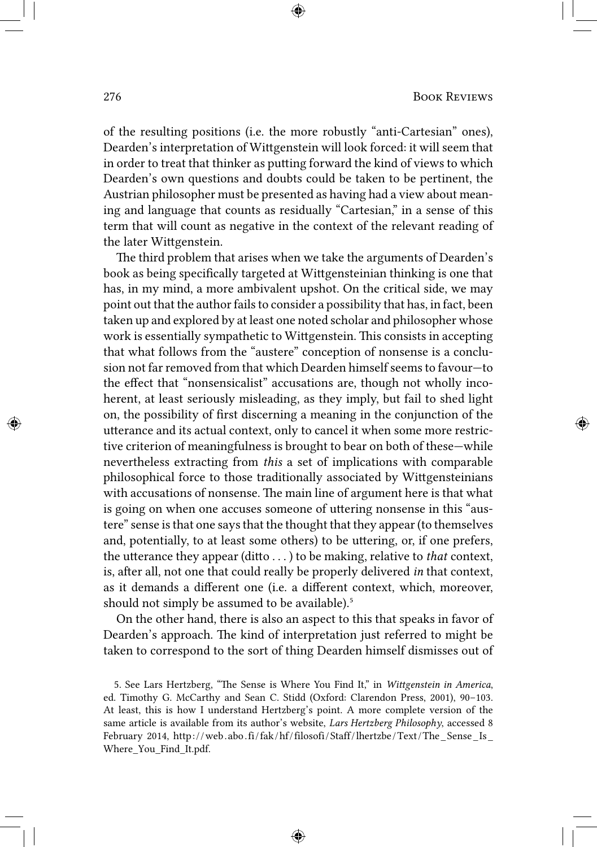of the resulting positions (i.e. the more robustly "anti-Cartesian" ones), Dearden's interpretation of Wittgenstein will look forced: it will seem that in order to treat that thinker as putting forward the kind of views to which Dearden's own questions and doubts could be taken to be pertinent, the Austrian philosopher must be presented as having had a view about meaning and language that counts as residually "Cartesian," in a sense of this term that will count as negative in the context of the relevant reading of the later Wittgenstein.

The third problem that arises when we take the arguments of Dearden's book as being specifically targeted at Wittgensteinian thinking is one that has, in my mind, a more ambivalent upshot. On the critical side, we may point out that the author fails to consider a possibility that has, in fact, been taken up and explored by at least one noted scholar and philosopher whose work is essentially sympathetic to Wittgenstein. This consists in accepting that what follows from the "austere" conception of nonsense is a conclusion not far removed from that which Dearden himself seems to favour—to the effect that "nonsensicalist" accusations are, though not wholly incoherent, at least seriously misleading, as they imply, but fail to shed light on, the possibility of first discerning a meaning in the conjunction of the utterance and its actual context, only to cancel it when some more restrictive criterion of meaningfulness is brought to bear on both of these—while nevertheless extracting from *this* a set of implications with comparable philosophical force to those traditionally associated by Wittgensteinians with accusations of nonsense. The main line of argument here is that what is going on when one accuses someone of uttering nonsense in this "austere" sense is that one says that the thought that they appear (to themselves and, potentially, to at least some others) to be uttering, or, if one prefers, the utterance they appear (ditto  $\dots$  ) to be making, relative to *that* context, is, after all, not one that could really be properly delivered *in* that context, as it demands a different one (i.e. a different context, which, moreover, should not simply be assumed to be available).<sup>5</sup>

On the other hand, there is also an aspect to this that speaks in favor of Dearden's approach. The kind of interpretation just referred to might be taken to correspond to the sort of thing Dearden himself dismisses out of

<sup>5.</sup> See Lars Hertzberg, "The Sense is Where You Find It," in Wittgenstein in America, ed. Timothy G. McCarthy and Sean C. Stidd (Oxford: Clarendon Press, 2001), 90–103. At least, this is how I understand Hertzberg's point. A more complete version of the same article is available from its author's website, *Lars Hertzberg Philosophy*, accessed 8 February 2014, http://web.abo.fi/fak/hf/filosofi/Staff/lhertzbe/Text/The\_Sense\_Is\_ Where You Find It.pdf.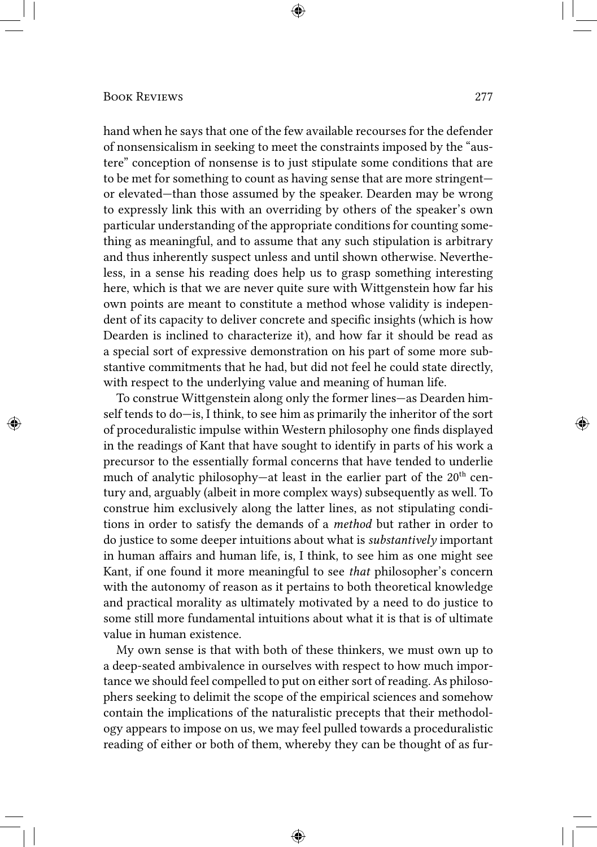hand when he says that one of the few available recourses for the defender of nonsensicalism in seeking to meet the constraints imposed by the "austere" conception of nonsense is to just stipulate some conditions that are to be met for something to count as having sense that are more stringent or elevated—than those assumed by the speaker. Dearden may be wrong to expressly link this with an overriding by others of the speaker's own particular understanding of the appropriate conditions for counting something as meaningful, and to assume that any such stipulation is arbitrary and thus inherently suspect unless and until shown otherwise. Nevertheless, in a sense his reading does help us to grasp something interesting here, which is that we are never quite sure with Wittgenstein how far his own points are meant to constitute a method whose validity is independent of its capacity to deliver concrete and specific insights (which is how Dearden is inclined to characterize it), and how far it should be read as a special sort of expressive demonstration on his part of some more substantive commitments that he had, but did not feel he could state directly, with respect to the underlying value and meaning of human life.

To construe Wittgenstein along only the former lines—as Dearden himself tends to do—is, I think, to see him as primarily the inheritor of the sort of proceduralistic impulse within Western philosophy one finds displayed in the readings of Kant that have sought to identify in parts of his work a precursor to the essentially formal concerns that have tended to underlie much of analytic philosophy—at least in the earlier part of the 20<sup>th</sup> century and, arguably (albeit in more complex ways) subsequently as well. To construe him exclusively along the latter lines, as not stipulating conditions in order to satisfy the demands of a *method* but rather in order to do justice to some deeper intuitions about what is *substantively* important in human affairs and human life, is, I think, to see him as one might see Kant, if one found it more meaningful to see *that* philosopher's concern with the autonomy of reason as it pertains to both theoretical knowledge and practical morality as ultimately motivated by a need to do justice to some still more fundamental intuitions about what it is that is of ultimate value in human existence.

My own sense is that with both of these thinkers, we must own up to a deep-seated ambivalence in ourselves with respect to how much importance we should feel compelled to put on either sort of reading. As philosophers seeking to delimit the scope of the empirical sciences and somehow contain the implications of the naturalistic precepts that their methodology appears to impose on us, we may feel pulled towards a proceduralistic reading of either or both of them, whereby they can be thought of as fur